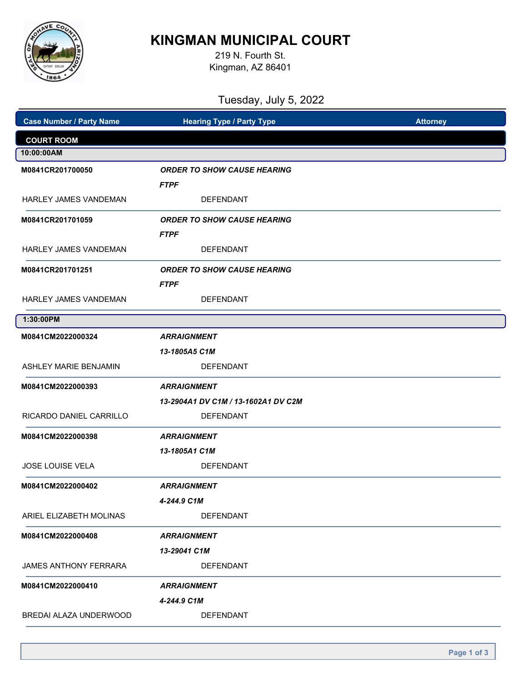

# **KINGMAN MUNICIPAL COURT**

219 N. Fourth St. Kingman, AZ 86401

| Tuesday, July 5, 2022           |                                     |                 |  |  |
|---------------------------------|-------------------------------------|-----------------|--|--|
| <b>Case Number / Party Name</b> | <b>Hearing Type / Party Type</b>    | <b>Attorney</b> |  |  |
| <b>COURT ROOM</b>               |                                     |                 |  |  |
| 10:00:00AM                      |                                     |                 |  |  |
| M0841CR201700050                | <b>ORDER TO SHOW CAUSE HEARING</b>  |                 |  |  |
|                                 | <b>FTPF</b>                         |                 |  |  |
| <b>HARLEY JAMES VANDEMAN</b>    | <b>DEFENDANT</b>                    |                 |  |  |
| M0841CR201701059                | <b>ORDER TO SHOW CAUSE HEARING</b>  |                 |  |  |
|                                 | <b>FTPF</b>                         |                 |  |  |
| <b>HARLEY JAMES VANDEMAN</b>    | <b>DEFENDANT</b>                    |                 |  |  |
| M0841CR201701251                | <b>ORDER TO SHOW CAUSE HEARING</b>  |                 |  |  |
|                                 | <b>FTPF</b>                         |                 |  |  |
| <b>HARLEY JAMES VANDEMAN</b>    | <b>DEFENDANT</b>                    |                 |  |  |
| 1:30:00PM                       |                                     |                 |  |  |
| M0841CM2022000324               | <b>ARRAIGNMENT</b>                  |                 |  |  |
|                                 | 13-1805A5 C1M                       |                 |  |  |
| <b>ASHLEY MARIE BENJAMIN</b>    | <b>DEFENDANT</b>                    |                 |  |  |
| M0841CM2022000393               | <b>ARRAIGNMENT</b>                  |                 |  |  |
|                                 | 13-2904A1 DV C1M / 13-1602A1 DV C2M |                 |  |  |
| RICARDO DANIEL CARRILLO         | <b>DEFENDANT</b>                    |                 |  |  |
| M0841CM2022000398               | <b>ARRAIGNMENT</b>                  |                 |  |  |
|                                 | 13-1805A1 C1M                       |                 |  |  |
| JOSE LOUISE VELA                | <b>DEFENDANT</b>                    |                 |  |  |
| M0841CM2022000402               | <b>ARRAIGNMENT</b>                  |                 |  |  |
|                                 | 4-244.9 C1M                         |                 |  |  |
| ARIEL ELIZABETH MOLINAS         | <b>DEFENDANT</b>                    |                 |  |  |
| M0841CM2022000408               | <b>ARRAIGNMENT</b>                  |                 |  |  |
|                                 | 13-29041 C1M                        |                 |  |  |
| JAMES ANTHONY FERRARA           | <b>DEFENDANT</b>                    |                 |  |  |
| M0841CM2022000410               | <b>ARRAIGNMENT</b>                  |                 |  |  |
|                                 | 4-244.9 C1M                         |                 |  |  |
| BREDAI ALAZA UNDERWOOD          | <b>DEFENDANT</b>                    |                 |  |  |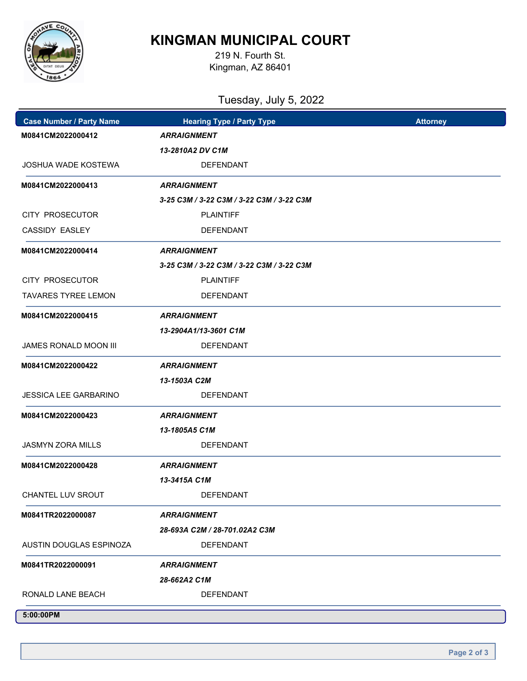

## **KINGMAN MUNICIPAL COURT**

219 N. Fourth St. Kingman, AZ 86401

### Tuesday, July 5, 2022

| <b>Case Number / Party Name</b> | <b>Hearing Type / Party Type</b>          | <b>Attorney</b> |
|---------------------------------|-------------------------------------------|-----------------|
| M0841CM2022000412               | <b>ARRAIGNMENT</b>                        |                 |
|                                 | 13-2810A2 DV C1M                          |                 |
| JOSHUA WADE KOSTEWA             | <b>DEFENDANT</b>                          |                 |
| M0841CM2022000413               | <b>ARRAIGNMENT</b>                        |                 |
|                                 | 3-25 C3M / 3-22 C3M / 3-22 C3M / 3-22 C3M |                 |
| CITY PROSECUTOR                 | <b>PLAINTIFF</b>                          |                 |
| CASSIDY EASLEY                  | <b>DEFENDANT</b>                          |                 |
| M0841CM2022000414               | <b>ARRAIGNMENT</b>                        |                 |
|                                 | 3-25 C3M / 3-22 C3M / 3-22 C3M / 3-22 C3M |                 |
| CITY PROSECUTOR                 | <b>PLAINTIFF</b>                          |                 |
| <b>TAVARES TYREE LEMON</b>      | <b>DEFENDANT</b>                          |                 |
| M0841CM2022000415               | <b>ARRAIGNMENT</b>                        |                 |
|                                 | 13-2904A1/13-3601 C1M                     |                 |
| <b>JAMES RONALD MOON III</b>    | <b>DEFENDANT</b>                          |                 |
| M0841CM2022000422               | <b>ARRAIGNMENT</b>                        |                 |
|                                 | 13-1503A C2M                              |                 |
| <b>JESSICA LEE GARBARINO</b>    | <b>DEFENDANT</b>                          |                 |
| M0841CM2022000423               | <b>ARRAIGNMENT</b>                        |                 |
|                                 | 13-1805A5 C1M                             |                 |
| <b>JASMYN ZORA MILLS</b>        | <b>DEFENDANT</b>                          |                 |
| M0841CM2022000428               | <b>ARRAIGNMENT</b>                        |                 |
|                                 | 13-3415A C1M                              |                 |
| CHANTEL LUV SROUT               | DEFENDANT                                 |                 |
| M0841TR2022000087               | <b>ARRAIGNMENT</b>                        |                 |
|                                 | 28-693A C2M / 28-701.02A2 C3M             |                 |
| AUSTIN DOUGLAS ESPINOZA         | <b>DEFENDANT</b>                          |                 |
| M0841TR2022000091               | <b>ARRAIGNMENT</b>                        |                 |
|                                 | 28-662A2 C1M                              |                 |
| RONALD LANE BEACH               | <b>DEFENDANT</b>                          |                 |
| 5:00:00PM                       |                                           |                 |